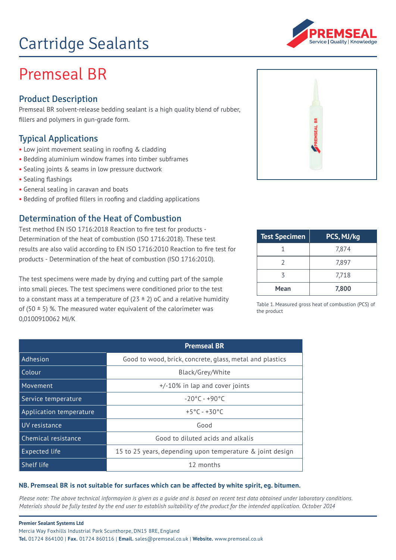# Cartridge Sealants



## Premseal BR

### Product Description

Premseal BR solvent-release bedding sealant is a high quality blend of rubber, fllers and polymers in gun-grade form.

#### Typical Applications

- **•** Low joint movement sealing in roofng & cladding
- Bedding aluminium window frames into timber subframes
- Sealing joints & seams in low pressure ductwork
- Sealing fashings
- General sealing in caravan and boats
- Bedding of profled fllers in roofng and cladding applications

#### Determination of the Heat of Combustion

Test method EN ISO 1716:2018 Reaction to fre test for products - Determination of the heat of combustion (ISO 1716:2018). These test results are also valid according to EN ISO 1716:2010 Reaction to fre test for products - Determination of the heat of combustion (ISO 1716:2010).

The test specimens were made by drying and cutting part of the sample into small pieces. The test specimens were conditioned prior to the test to a constant mass at a temperature of  $(23 \pm 2)$  oC and a relative humidity of (50  $\pm$  5) %. The measured water equivalent of the calorimeter was 0,0100910062 MJ/K

| PREMSEAL BR |  |
|-------------|--|
|             |  |

| <b>Test Specimen</b> | PCS, MJ/kg |
|----------------------|------------|
|                      | 7,874      |
|                      | 7,897      |
|                      | 7,718      |
| Mean                 | 7,800      |

Table 1. Measured gross heat of combustion (PCS) of the product

|                         | <b>Premseal BR</b>                                        |
|-------------------------|-----------------------------------------------------------|
| Adhesion                | Good to wood, brick, concrete, glass, metal and plastics  |
| Colour                  | Black/Grey/White                                          |
| Movement                | +/-10% in lap and cover joints                            |
| Service temperature     | $-20^{\circ}$ C - +90 $^{\circ}$ C                        |
| Application temperature | $+5^{\circ}$ C - +30 °C                                   |
| UV resistance           | Good                                                      |
| Chemical resistance     | Good to diluted acids and alkalis                         |
| Expected life           | 15 to 25 years, depending upon temperature & joint design |
| Shelf life              | 12 months                                                 |

#### **NB. Premseal BR is not suitable for surfaces which can be affected by white spirit, eg. bitumen.**

*Please note: The above technical informayion is given as a guide and is based on recent test data obtained under laboratory conditions. Materials should be fully tested by the end user to establish suitability of the product for the intended application. October 2014*